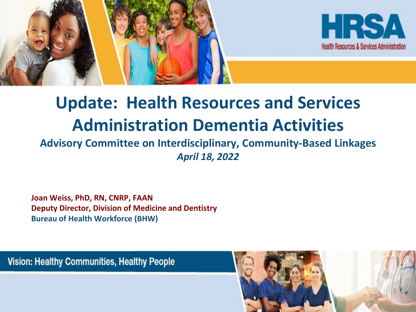



### **Update: Health Resources and Services Administration Dementia Activities**

#### **Advisory Committee on Interdisciplinary, Community-Based Linkages**  *April 18, 2022*

**Joan Weiss, PhD, RN, CNRP, FAAN Deputy Director, Division of Medicine and Dentistry Bureau of Health Workforce (BHW)**

Vision: Healthy Communities, Healthy People

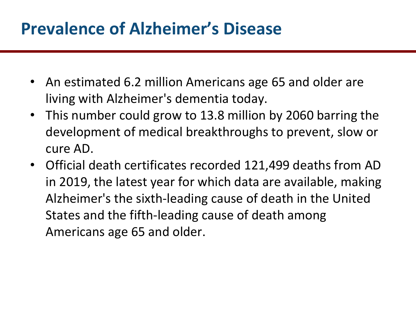#### **Prevalence of Alzheimer's Disease**

- An estimated 6.2 million Americans age 65 and older are living with Alzheimer's dementia today.
- This number could grow to 13.8 million by 2060 barring the development of medical breakthroughs to prevent, slow or cure AD.
- Official death certificates recorded 121,499 deaths from AD in 2019, the latest year for which data are available, making Alzheimer's the sixth-leading cause of death in the United States and the fifth-leading cause of death among Americans age 65 and older.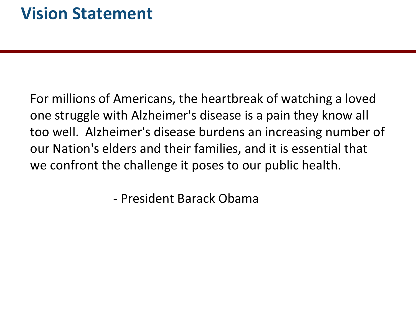For millions of Americans, the heartbreak of watching a loved one struggle with Alzheimer's disease is a pain they know all too well. Alzheimer's disease burdens an increasing number of our Nation's elders and their families, and it is essential that we confront the challenge it poses to our public health.

- President Barack Obama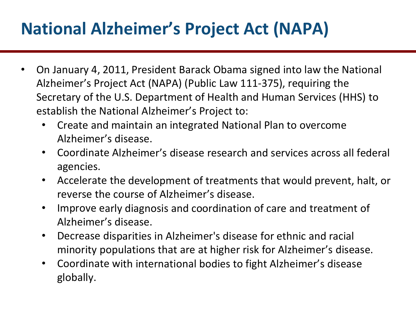### **National Alzheimer's Project Act (NAPA)**

- On January 4, 2011, President Barack Obama signed into law the National Alzheimer's Project Act (NAPA) (Public Law 111-375), requiring the Secretary of the U.S. Department of Health and Human Services (HHS) to establish the National Alzheimer's Project to:
	- Create and maintain an integrated National Plan to overcome Alzheimer's disease.
	- Coordinate Alzheimer's disease research and services across all federal agencies.
	- Accelerate the development of treatments that would prevent, halt, or reverse the course of Alzheimer's disease.
	- Improve early diagnosis and coordination of care and treatment of Alzheimer's disease.
	- Decrease disparities in Alzheimer's disease for ethnic and racial minority populations that are at higher risk for Alzheimer's disease.
	- Coordinate with international bodies to fight Alzheimer's disease globally.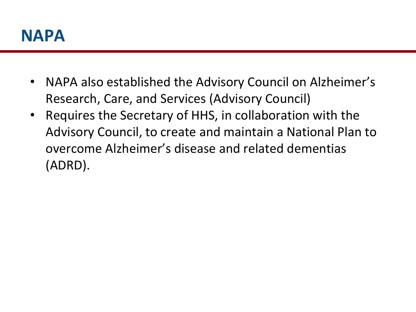

- NAPA also established the Advisory Council on Alzheimer's Research, Care, and Services (Advisory Council)
- Requires the Secretary of HHS, in collaboration with the Advisory Council, to create and maintain a National Plan to overcome Alzheimer's disease and related dementias (ADRD).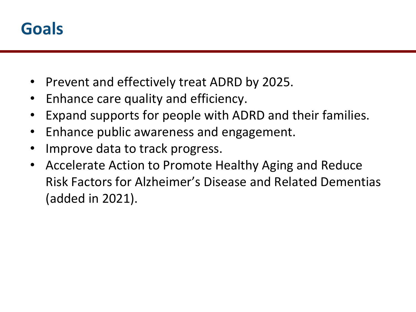

- Prevent and effectively treat ADRD by 2025.
- Enhance care quality and efficiency.
- Expand supports for people with ADRD and their families.
- Enhance public awareness and engagement.
- Improve data to track progress.
- Accelerate Action to Promote Healthy Aging and Reduce Risk Factors for Alzheimer's Disease and Related Dementias (added in 2021).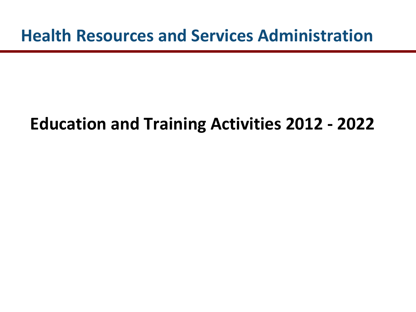**Health Resources and Services Administration** 

#### **Education and Training Activities 2012 - 2022**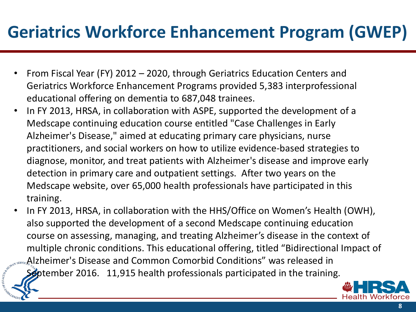### **Geriatrics Workforce Enhancement Program (GWEP)**

- From Fiscal Year (FY) 2012 2020, through Geriatrics Education Centers and Geriatrics Workforce Enhancement Programs provided 5,383 interprofessional educational offering on dementia to 687,048 trainees.
- In FY 2013, HRSA, in collaboration with ASPE, supported the development of a Medscape continuing education course entitled "Case Challenges in Early Alzheimer's Disease," aimed at educating primary care physicians, nurse practitioners, and social workers on how to utilize evidence-based strategies to diagnose, monitor, and treat patients with Alzheimer's disease and improve early detection in primary care and outpatient settings. After two years on the Medscape website, over 65,000 health professionals have participated in this training.
- In FY 2013, HRSA, in collaboration with the HHS/Office on Women's Health (OWH), also supported the development of a second Medscape continuing education course on assessing, managing, and treating Alzheimer's disease in the context of multiple chronic conditions. This educational offering, titled "Bidirectional Impact of Alzheimer's Disease and Common Comorbid Conditions" was released in

September 2016. 11,915 health professionals participated in the training.

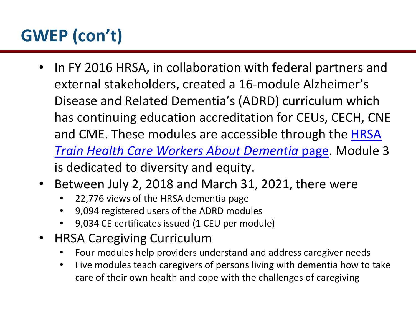- In FY 2016 HRSA, in collaboration with federal partners and external stakeholders, created a 16-module Alzheimer's Disease and Related Dementia's (ADRD) curriculum which has continuing education accreditation for CEUs, CECH, CNE and CME. These modules are accessible through the **HRSA** *Train Health Care Workers About Dementia* page. Module 3 is dedicated to diversity and equity.
- Between July 2, 2018 and March 31, 2021, there were
	- 22,776 views of the HRSA dementia page
	- 9,094 registered users of the ADRD modules
	- 9,034 CE certificates issued (1 CEU per module)
- HRSA Caregiving Curriculum
	- Four modules help providers understand and address caregiver needs
	- Five modules teach caregivers of persons living with dementia how to take care of their own health and cope with the challenges of caregiving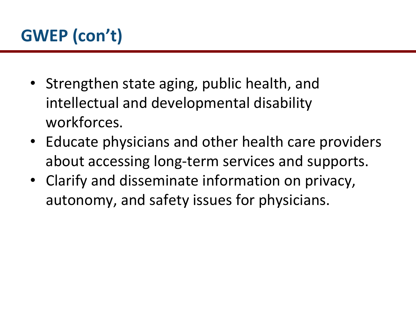- Strengthen state aging, public health, and intellectual and developmental disability workforces.
- Educate physicians and other health care providers about accessing long-term services and supports.
- Clarify and disseminate information on privacy, autonomy, and safety issues for physicians.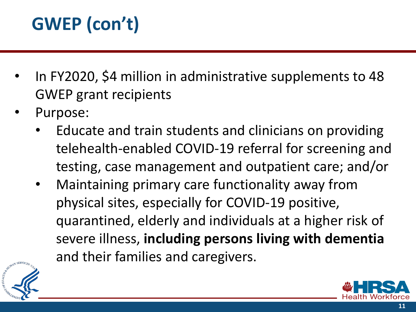- In FY2020, \$4 million in administrative supplements to 48 GWEP grant recipients
- Purpose:
	- Educate and train students and clinicians on providing telehealth-enabled COVID-19 referral for screening and testing, case management and outpatient care; and/or
	- Maintaining primary care functionality away from physical sites, especially for COVID-19 positive, quarantined, elderly and individuals at a higher risk of severe illness, **including persons living with dementia**  and their families and caregivers.



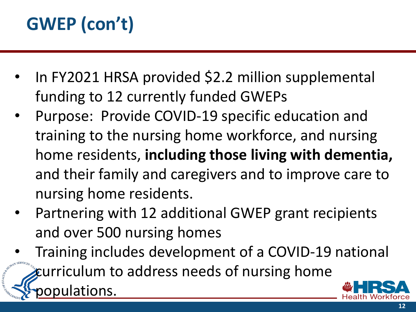- In FY2021 HRSA provided \$2.2 million supplemental funding to 12 currently funded GWEPs
- Purpose: Provide COVID-19 specific education and training to the nursing home workforce, and nursing home residents, **including those living with dementia,**  and their family and caregivers and to improve care to nursing home residents.
- Partnering with 12 additional GWEP grant recipients and over 500 nursing homes
- Training includes development of a COVID-19 national curriculum to address needs of nursing home lations.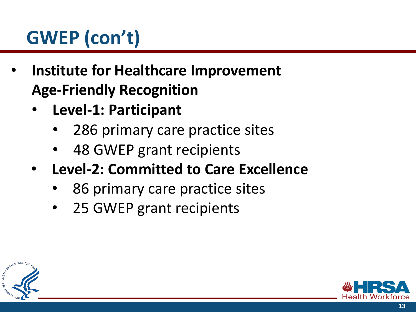- **Institute for Healthcare Improvement Age-Friendly Recognition**
	- **Level-1: Participant**
		- 286 primary care practice sites
		- 48 GWEP grant recipients
	- **Level-2: Committed to Care Excellence** 
		- 86 primary care practice sites
		- 25 GWEP grant recipients



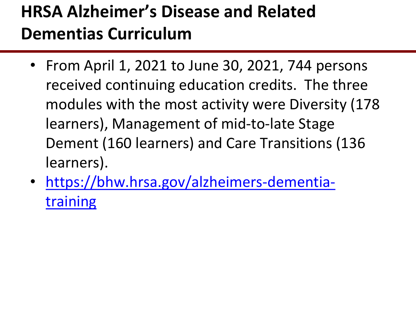### **HRSA Alzheimer's Disease and Related Dementias Curriculum**

- From April 1, 2021 to June 30, 2021, 744 persons received continuing education credits. The three modules with the most activity were Diversity (178 learners), Management of mid-to-late Stage Dement (160 learners) and Care Transitions (136 learners).
- [https://bhw.hrsa.gov/alzheimers-dementia](https://bhw.hrsa.gov/alzheimers-dementia-training)training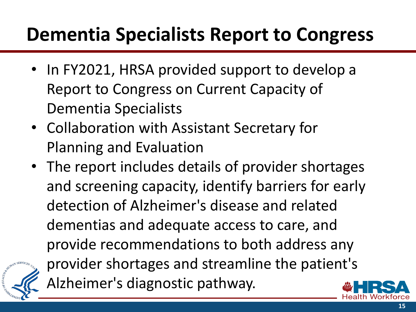### **Dementia Specialists Report to Congress**

- In FY2021, HRSA provided support to develop a Report to Congress on Current Capacity of Dementia Specialists
- Collaboration with Assistant Secretary for Planning and Evaluation
- The report includes details of provider shortages and screening capacity, identify barriers for early detection of Alzheimer's disease and related dementias and adequate access to care, and provide recommendations to both address any provider shortages and streamline the patient's Alzheimer's diagnostic pathway.



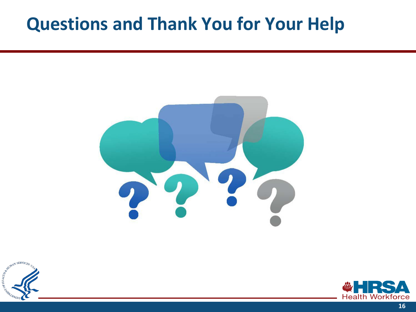#### **Questions and Thank You for Your Help**





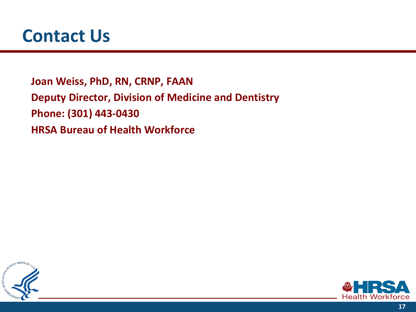**Joan Weiss, PhD, RN, CRNP, FAAN Deputy Director, Division of Medicine and Dentistry Phone: (301) 443-0430 HRSA Bureau of Health Workforce**